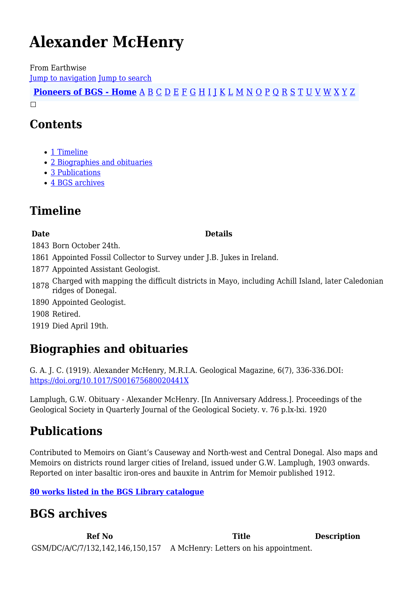# **Alexander McHenry**

From Earthwise [Jump to navigation](#page--1-0) [Jump to search](#page--1-0)

**[Pioneers of BGS - Home](http://earthwise.bgs.ac.uk/index.php/Pioneers_of_the_British_Geological_Survey)** [A](http://earthwise.bgs.ac.uk/index.php/Pioneers_of_the_British_Geological_Survey#A) [B](http://earthwise.bgs.ac.uk/index.php/Pioneers_of_the_British_Geological_Survey#B) [C](http://earthwise.bgs.ac.uk/index.php/Pioneers_of_the_British_Geological_Survey#C) [D](http://earthwise.bgs.ac.uk/index.php/Pioneers_of_the_British_Geological_Survey#D) [E](http://earthwise.bgs.ac.uk/index.php/Pioneers_of_the_British_Geological_Survey#E) [F](http://earthwise.bgs.ac.uk/index.php/Pioneers_of_the_British_Geological_Survey#F) [G](http://earthwise.bgs.ac.uk/index.php/Pioneers_of_the_British_Geological_Survey#G) [H](http://earthwise.bgs.ac.uk/index.php/Pioneers_of_the_British_Geological_Survey#H) [I](http://earthwise.bgs.ac.uk/index.php/Pioneers_of_the_British_Geological_Survey#I) [J](http://earthwise.bgs.ac.uk/index.php/Pioneers_of_the_British_Geological_Survey#J) [K](http://earthwise.bgs.ac.uk/index.php/Pioneers_of_the_British_Geological_Survey#K) [L](http://earthwise.bgs.ac.uk/index.php/Pioneers_of_the_British_Geological_Survey#L) [M](http://earthwise.bgs.ac.uk/index.php/Pioneers_of_the_British_Geological_Survey#M) [N](http://earthwise.bgs.ac.uk/index.php/Pioneers_of_the_British_Geological_Survey#N) [O](http://earthwise.bgs.ac.uk/index.php/Pioneers_of_the_British_Geological_Survey#O) [P](http://earthwise.bgs.ac.uk/index.php/Pioneers_of_the_British_Geological_Survey#P) [Q](http://earthwise.bgs.ac.uk/index.php/Pioneers_of_the_British_Geological_Survey#Q) [R](http://earthwise.bgs.ac.uk/index.php/Pioneers_of_the_British_Geological_Survey#R) [S](http://earthwise.bgs.ac.uk/index.php/Pioneers_of_the_British_Geological_Survey#S) [T](http://earthwise.bgs.ac.uk/index.php/Pioneers_of_the_British_Geological_Survey#T) [U](http://earthwise.bgs.ac.uk/index.php/Pioneers_of_the_British_Geological_Survey#U) [V](http://earthwise.bgs.ac.uk/index.php/Pioneers_of_the_British_Geological_Survey#V) [W](http://earthwise.bgs.ac.uk/index.php/Pioneers_of_the_British_Geological_Survey#W) [X](http://earthwise.bgs.ac.uk/index.php/Pioneers_of_the_British_Geological_Survey#X) [Y](http://earthwise.bgs.ac.uk/index.php/Pioneers_of_the_British_Geological_Survey#Y) [Z](http://earthwise.bgs.ac.uk/index.php/Pioneers_of_the_British_Geological_Survey#Z)  $\Box$ 

### **Contents**

- [1](#page--1-0) [Timeline](#page--1-0)
- [2](#page--1-0) [Biographies and obituaries](#page--1-0)
- [3](#page--1-0) [Publications](#page--1-0)
- [4](#page--1-0) [BGS archives](#page--1-0)

### **Timeline**

#### **Date Details**

- 1843 Born October 24th.
- 1861 Appointed Fossil Collector to Survey under J.B. Jukes in Ireland.
- 1877 Appointed Assistant Geologist.
- 1878 Charged with mapping the difficult districts in Mayo, including Achill Island, later Caledonian ridges of Donegal.
- 1890 Appointed Geologist.
- 1908 Retired.
- 1919 Died April 19th.

### **Biographies and obituaries**

G. A. J. C. (1919). Alexander McHenry, M.R.I.A. Geological Magazine, 6(7), 336-336.DOI: <https://doi.org/10.1017/S001675680020441X>

Lamplugh, G.W. Obituary - Alexander McHenry. [In Anniversary Address.]. Proceedings of the Geological Society in Quarterly Journal of the Geological Society. v. 76 p.lx-lxi. 1920

## **Publications**

Contributed to Memoirs on Giant's Causeway and North-west and Central Donegal. Also maps and Memoirs on districts round larger cities of Ireland, issued under G.W. Lamplugh, 1903 onwards. Reported on inter basaltic iron-ores and bauxite in Antrim for Memoir published 1912.

### **[80 works listed in the BGS Library catalogue](https://envirolib.apps.nerc.ac.uk/olibcgi?infile=authk.glue&style=authk&nh=20&calling_page=hitlist.glu&key=100110)**

### **BGS archives**

**Ref No Title Description** GSM/DC/A/C/7/132,142,146,150,157 A McHenry: Letters on his appointment.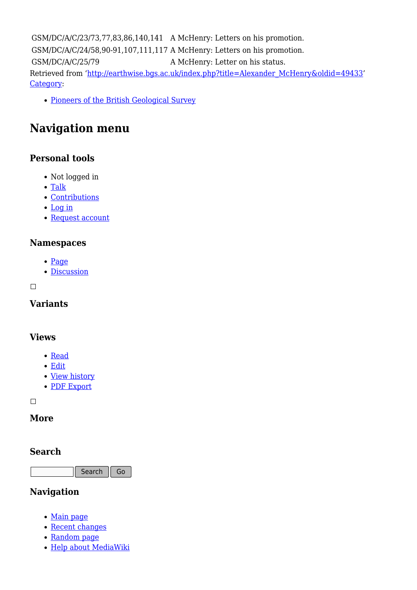GSM/DC/A/C/23/73,77,83,86,140,141 A McHenry: Letters on his promotion. GSM/DC/A/C/24/58,90-91,107,111,117 A McHenry: Letters on his promotion. GSM/DC/A/C/25/79 A McHenry: Letter on his status. Retrieved from ['http://earthwise.bgs.ac.uk/index.php?title=Alexander\\_McHenry&oldid=49433](http://earthwise.bgs.ac.uk/index.php?title=Alexander_McHenry&oldid=49433)' [Category](http://earthwise.bgs.ac.uk/index.php/Special:Categories):

[Pioneers of the British Geological Survey](http://earthwise.bgs.ac.uk/index.php/Category:Pioneers_of_the_British_Geological_Survey)

### **Navigation menu**

### **Personal tools**

- Not logged in
- [Talk](http://earthwise.bgs.ac.uk/index.php/Special:MyTalk)
- [Contributions](http://earthwise.bgs.ac.uk/index.php/Special:MyContributions)
- [Log in](http://earthwise.bgs.ac.uk/index.php?title=Special:UserLogin&returnto=Alexander+McHenry&returntoquery=action%3Dmpdf)
- [Request account](http://earthwise.bgs.ac.uk/index.php/Special:RequestAccount)

#### **Namespaces**

- [Page](http://earthwise.bgs.ac.uk/index.php/Alexander_McHenry)
- [Discussion](http://earthwise.bgs.ac.uk/index.php?title=Talk:Alexander_McHenry&action=edit&redlink=1)

 $\Box$ 

### **Variants**

### **Views**

- [Read](http://earthwise.bgs.ac.uk/index.php/Alexander_McHenry)
- [Edit](http://earthwise.bgs.ac.uk/index.php?title=Alexander_McHenry&action=edit)
- [View history](http://earthwise.bgs.ac.uk/index.php?title=Alexander_McHenry&action=history)
- [PDF Export](http://earthwise.bgs.ac.uk/index.php?title=Alexander_McHenry&action=mpdf)

 $\Box$ 

### **More**

### **Search**

Search Go

### **Navigation**

- [Main page](http://earthwise.bgs.ac.uk/index.php/Main_Page)
- [Recent changes](http://earthwise.bgs.ac.uk/index.php/Special:RecentChanges)
- [Random page](http://earthwise.bgs.ac.uk/index.php/Special:Random)
- [Help about MediaWiki](https://www.mediawiki.org/wiki/Special:MyLanguage/Help:Contents)